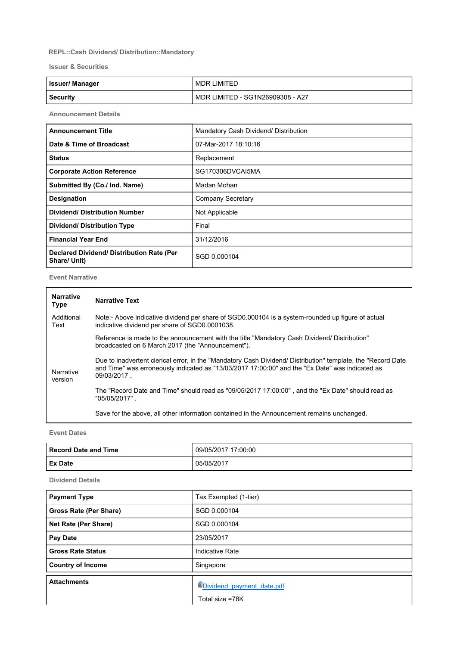## REPL::Cash Dividend/ Distribution::Mandatory

Issuer & Securities

| <b>Issuer/Manager</b> | MDR LIMITED                      |
|-----------------------|----------------------------------|
| Security              | MDR LIMITED - SG1N26909308 - A27 |

Announcement Details

| <b>Announcement Title</b>                                 | Mandatory Cash Dividend/ Distribution |
|-----------------------------------------------------------|---------------------------------------|
| Date & Time of Broadcast                                  | 07-Mar-2017 18:10:16                  |
| <b>Status</b>                                             | Replacement                           |
| <b>Corporate Action Reference</b>                         | SG170306DVCAI5MA                      |
| Submitted By (Co./ Ind. Name)                             | Madan Mohan                           |
| <b>Designation</b>                                        | Company Secretary                     |
| <b>Dividend/ Distribution Number</b>                      | Not Applicable                        |
| <b>Dividend/ Distribution Type</b>                        | Final                                 |
| <b>Financial Year End</b>                                 | 31/12/2016                            |
| Declared Dividend/ Distribution Rate (Per<br>Share/ Unit) | SGD 0.000104                          |

Event Narrative

| <b>Narrative</b><br><b>Type</b> | <b>Narrative Text</b>                                                                                                                                                                                                           |  |
|---------------------------------|---------------------------------------------------------------------------------------------------------------------------------------------------------------------------------------------------------------------------------|--|
| Additional<br>Text              | Note:- Above indicative dividend per share of SGD0.000104 is a system-rounded up figure of actual<br>indicative dividend per share of SGD0.0001038.                                                                             |  |
| Narrative<br>version            | Reference is made to the announcement with the title "Mandatory Cash Dividend/ Distribution"<br>broadcasted on 6 March 2017 (the "Announcement").                                                                               |  |
|                                 | Due to inadvertent clerical error, in the "Mandatory Cash Dividend/ Distribution" template, the "Record Date"<br>and Time" was erroneously indicated as "13/03/2017 17:00:00" and the "Ex Date" was indicated as<br>09/03/2017. |  |
|                                 | The "Record Date and Time" should read as "09/05/2017 17:00:00", and the "Ex Date" should read as<br>"05/05/2017" .                                                                                                             |  |
|                                 | Save for the above, all other information contained in the Announcement remains unchanged.                                                                                                                                      |  |

Event Dates

| Record Date and Time | 09/05/2017 17:00:00 |
|----------------------|---------------------|
| <b>Ex Date</b>       | 05/05/2017          |

Dividend Details

| <b>Payment Type</b>      | Tax Exempted (1-tier)     |
|--------------------------|---------------------------|
| Gross Rate (Per Share)   | SGD 0.000104              |
| Net Rate (Per Share)     | SGD 0.000104              |
| Pay Date                 | 23/05/2017                |
| <b>Gross Rate Status</b> | Indicative Rate           |
| <b>Country of Income</b> | Singapore                 |
| <b>Attachments</b>       | Dividend payment date.pdf |
|                          | Total size =78K           |